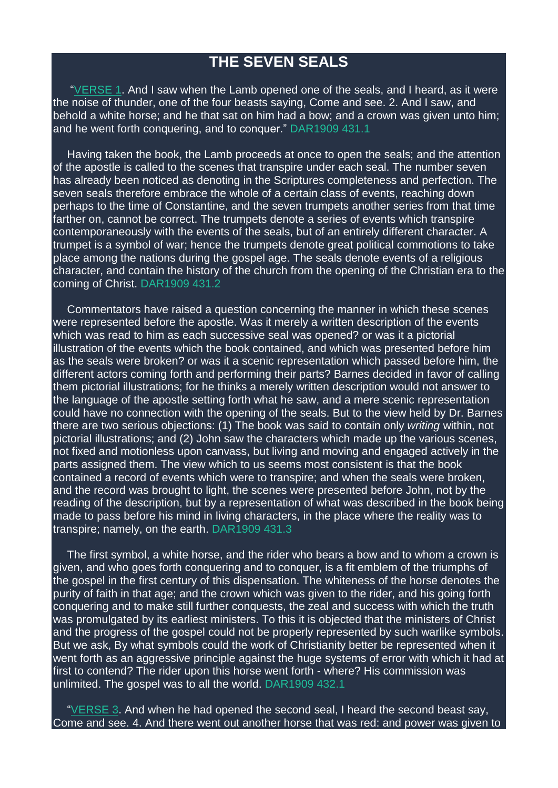## **THE SEVEN SEALS**

["VERSE](https://m.egwwritings.org/en/book/1965.62830#62830) 1. And I saw when the Lamb opened one of the seals, and I heard, as it were the noise of thunder, one of the four beasts saying, Come and see. 2. And I saw, and behold a white horse; and he that sat on him had a bow; and a crown was given unto him; and he went forth conquering, and to conquer." DAR1909 431.1

Having taken the book, the Lamb proceeds at once to open the seals; and the attention of the apostle is called to the scenes that transpire under each seal. The number seven has already been noticed as denoting in the Scriptures completeness and perfection. The seven seals therefore embrace the whole of a certain class of events, reaching down perhaps to the time of Constantine, and the seven trumpets another series from that time farther on, cannot be correct. The trumpets denote a series of events which transpire contemporaneously with the events of the seals, but of an entirely different character. A trumpet is a symbol of war; hence the trumpets denote great political commotions to take place among the nations during the gospel age. The seals denote events of a religious character, and contain the history of the church from the opening of the Christian era to the coming of Christ. DAR1909 431.2

Commentators have raised a question concerning the manner in which these scenes were represented before the apostle. Was it merely a written description of the events which was read to him as each successive seal was opened? or was it a pictorial illustration of the events which the book contained, and which was presented before him as the seals were broken? or was it a scenic representation which passed before him, the different actors coming forth and performing their parts? Barnes decided in favor of calling them pictorial illustrations; for he thinks a merely written description would not answer to the language of the apostle setting forth what he saw, and a mere scenic representation could have no connection with the opening of the seals. But to the view held by Dr. Barnes there are two serious objections: (1) The book was said to contain only *writing* within, not pictorial illustrations; and (2) John saw the characters which made up the various scenes, not fixed and motionless upon canvass, but living and moving and engaged actively in the parts assigned them. The view which to us seems most consistent is that the book contained a record of events which were to transpire; and when the seals were broken, and the record was brought to light, the scenes were presented before John, not by the reading of the description, but by a representation of what was described in the book being made to pass before his mind in living characters, in the place where the reality was to transpire; namely, on the earth. DAR1909 431.3

The first symbol, a white horse, and the rider who bears a bow and to whom a crown is given, and who goes forth conquering and to conquer, is a fit emblem of the triumphs of the gospel in the first century of this dispensation. The whiteness of the horse denotes the purity of faith in that age; and the crown which was given to the rider, and his going forth conquering and to make still further conquests, the zeal and success with which the truth was promulgated by its earliest ministers. To this it is objected that the ministers of Christ and the progress of the gospel could not be properly represented by such warlike symbols. But we ask, By what symbols could the work of Christianity better be represented when it went forth as an aggressive principle against the huge systems of error with which it had at first to contend? The rider upon this horse went forth - where? His commission was unlimited. The gospel was to all the world. DAR1909 432.1

["VERSE](https://m.egwwritings.org/en/book/1965.62834#62834) 3. And when he had opened the second seal, I heard the second beast say, Come and see. 4. And there went out another horse that was red: and power was given to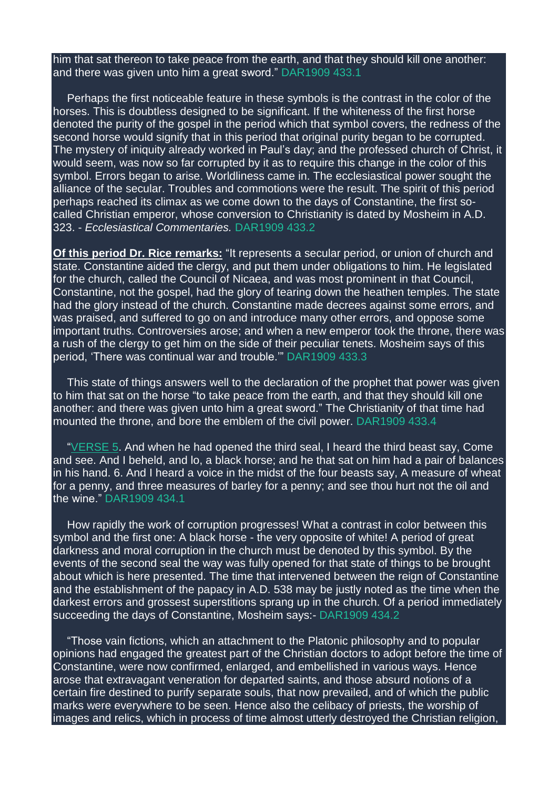him that sat thereon to take peace from the earth, and that they should kill one another: and there was given unto him a great sword." DAR1909 433.1

Perhaps the first noticeable feature in these symbols is the contrast in the color of the horses. This is doubtless designed to be significant. If the whiteness of the first horse denoted the purity of the gospel in the period which that symbol covers, the redness of the second horse would signify that in this period that original purity began to be corrupted. The mystery of iniquity already worked in Paul's day; and the professed church of Christ, it would seem, was now so far corrupted by it as to require this change in the color of this symbol. Errors began to arise. Worldliness came in. The ecclesiastical power sought the alliance of the secular. Troubles and commotions were the result. The spirit of this period perhaps reached its climax as we come down to the days of Constantine, the first socalled Christian emperor, whose conversion to Christianity is dated by Mosheim in A.D. 323. - *Ecclesiastical Commentaries.* DAR1909 433.2

**Of this period Dr. Rice remarks:** "It represents a secular period, or union of church and state. Constantine aided the clergy, and put them under obligations to him. He legislated for the church, called the Council of Nicaea, and was most prominent in that Council, Constantine, not the gospel, had the glory of tearing down the heathen temples. The state had the glory instead of the church. Constantine made decrees against some errors, and was praised, and suffered to go on and introduce many other errors, and oppose some important truths. Controversies arose; and when a new emperor took the throne, there was a rush of the clergy to get him on the side of their peculiar tenets. Mosheim says of this period, 'There was continual war and trouble.'" DAR1909 433.3

This state of things answers well to the declaration of the prophet that power was given to him that sat on the horse "to take peace from the earth, and that they should kill one another: and there was given unto him a great sword." The Christianity of that time had mounted the throne, and bore the emblem of the civil power. DAR1909 433.4

["VERSE](https://m.egwwritings.org/en/book/1965.62838#62838) 5. And when he had opened the third seal, I heard the third beast say, Come and see. And I beheld, and lo, a black horse; and he that sat on him had a pair of balances in his hand. 6. And I heard a voice in the midst of the four beasts say, A measure of wheat for a penny, and three measures of barley for a penny; and see thou hurt not the oil and the wine." DAR1909 434.1

How rapidly the work of corruption progresses! What a contrast in color between this symbol and the first one: A black horse - the very opposite of white! A period of great darkness and moral corruption in the church must be denoted by this symbol. By the events of the second seal the way was fully opened for that state of things to be brought about which is here presented. The time that intervened between the reign of Constantine and the establishment of the papacy in A.D. 538 may be justly noted as the time when the darkest errors and grossest superstitions sprang up in the church. Of a period immediately succeeding the days of Constantine, Mosheim says:- DAR1909 434.2

"Those vain fictions, which an attachment to the Platonic philosophy and to popular opinions had engaged the greatest part of the Christian doctors to adopt before the time of Constantine, were now confirmed, enlarged, and embellished in various ways. Hence arose that extravagant veneration for departed saints, and those absurd notions of a certain fire destined to purify separate souls, that now prevailed, and of which the public marks were everywhere to be seen. Hence also the celibacy of priests, the worship of images and relics, which in process of time almost utterly destroyed the Christian religion,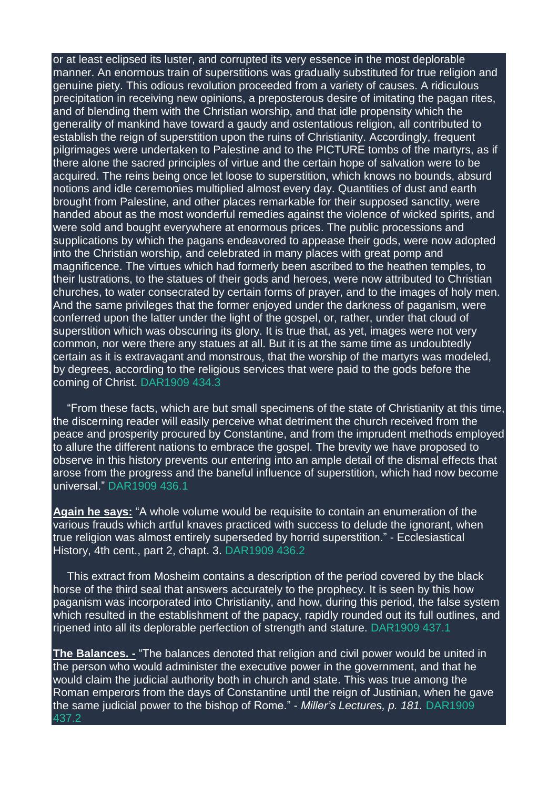or at least eclipsed its luster, and corrupted its very essence in the most deplorable manner. An enormous train of superstitions was gradually substituted for true religion and genuine piety. This odious revolution proceeded from a variety of causes. A ridiculous precipitation in receiving new opinions, a preposterous desire of imitating the pagan rites, and of blending them with the Christian worship, and that idle propensity which the generality of mankind have toward a gaudy and ostentatious religion, all contributed to establish the reign of superstition upon the ruins of Christianity. Accordingly, frequent pilgrimages were undertaken to Palestine and to the PICTURE tombs of the martyrs, as if there alone the sacred principles of virtue and the certain hope of salvation were to be acquired. The reins being once let loose to superstition, which knows no bounds, absurd notions and idle ceremonies multiplied almost every day. Quantities of dust and earth brought from Palestine, and other places remarkable for their supposed sanctity, were handed about as the most wonderful remedies against the violence of wicked spirits, and were sold and bought everywhere at enormous prices. The public processions and supplications by which the pagans endeavored to appease their gods, were now adopted into the Christian worship, and celebrated in many places with great pomp and magnificence. The virtues which had formerly been ascribed to the heathen temples, to their lustrations, to the statues of their gods and heroes, were now attributed to Christian churches, to water consecrated by certain forms of prayer, and to the images of holy men. And the same privileges that the former enjoyed under the darkness of paganism, were conferred upon the latter under the light of the gospel, or, rather, under that cloud of superstition which was obscuring its glory. It is true that, as yet, images were not very common, nor were there any statues at all. But it is at the same time as undoubtedly certain as it is extravagant and monstrous, that the worship of the martyrs was modeled, by degrees, according to the religious services that were paid to the gods before the coming of Christ. DAR1909 434.3

"From these facts, which are but small specimens of the state of Christianity at this time, the discerning reader will easily perceive what detriment the church received from the peace and prosperity procured by Constantine, and from the imprudent methods employed to allure the different nations to embrace the gospel. The brevity we have proposed to observe in this history prevents our entering into an ample detail of the dismal effects that arose from the progress and the baneful influence of superstition, which had now become universal." DAR1909 436.1

**Again he says:** "A whole volume would be requisite to contain an enumeration of the various frauds which artful knaves practiced with success to delude the ignorant, when true religion was almost entirely superseded by horrid superstition." - Ecclesiastical History, 4th cent., part 2, chapt. 3. DAR1909 436.2

This extract from Mosheim contains a description of the period covered by the black horse of the third seal that answers accurately to the prophecy. It is seen by this how paganism was incorporated into Christianity, and how, during this period, the false system which resulted in the establishment of the papacy, rapidly rounded out its full outlines, and ripened into all its deplorable perfection of strength and stature. DAR1909 437.1

**The Balances. -** "The balances denoted that religion and civil power would be united in the person who would administer the executive power in the government, and that he would claim the judicial authority both in church and state. This was true among the Roman emperors from the days of Constantine until the reign of Justinian, when he gave the same judicial power to the bishop of Rome." - *Miller's Lectures, p. 181.* DAR1909 437.2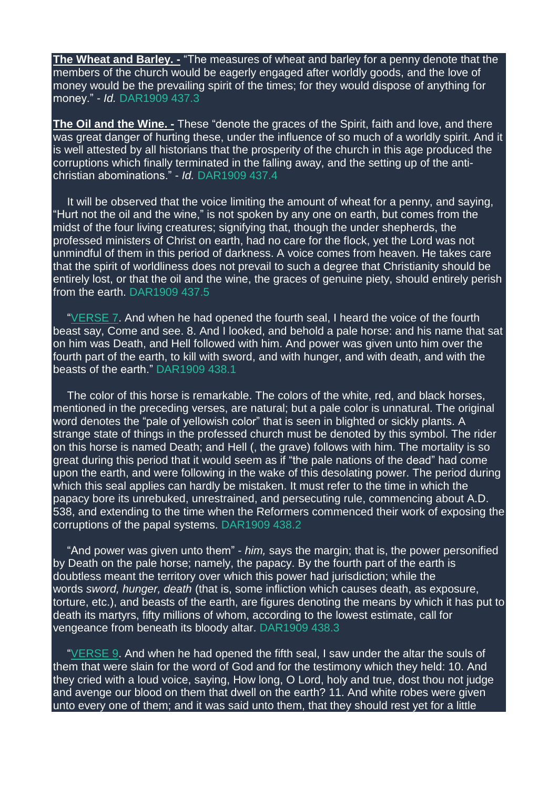**The Wheat and Barley. -** "The measures of wheat and barley for a penny denote that the members of the church would be eagerly engaged after worldly goods, and the love of money would be the prevailing spirit of the times; for they would dispose of anything for money." - *Id.* DAR1909 437.3

**The Oil and the Wine. -** These "denote the graces of the Spirit, faith and love, and there was great danger of hurting these, under the influence of so much of a worldly spirit. And it is well attested by all historians that the prosperity of the church in this age produced the corruptions which finally terminated in the falling away, and the setting up of the antichristian abominations." - *Id.* DAR1909 437.4

It will be observed that the voice limiting the amount of wheat for a penny, and saying, "Hurt not the oil and the wine," is not spoken by any one on earth, but comes from the midst of the four living creatures; signifying that, though the under shepherds, the professed ministers of Christ on earth, had no care for the flock, yet the Lord was not unmindful of them in this period of darkness. A voice comes from heaven. He takes care that the spirit of worldliness does not prevail to such a degree that Christianity should be entirely lost, or that the oil and the wine, the graces of genuine piety, should entirely perish from the earth. DAR1909 437.5

["VERSE](https://m.egwwritings.org/en/book/1965.62842#62842) 7. And when he had opened the fourth seal, I heard the voice of the fourth beast say, Come and see. 8. And I looked, and behold a pale horse: and his name that sat on him was Death, and Hell followed with him. And power was given unto him over the fourth part of the earth, to kill with sword, and with hunger, and with death, and with the beasts of the earth." DAR1909 438.1

The color of this horse is remarkable. The colors of the white, red, and black horses, mentioned in the preceding verses, are natural; but a pale color is unnatural. The original word denotes the "pale of yellowish color" that is seen in blighted or sickly plants. A strange state of things in the professed church must be denoted by this symbol. The rider on this horse is named Death; and Hell (, the grave) follows with him. The mortality is so great during this period that it would seem as if "the pale nations of the dead" had come upon the earth, and were following in the wake of this desolating power. The period during which this seal applies can hardly be mistaken. It must refer to the time in which the papacy bore its unrebuked, unrestrained, and persecuting rule, commencing about A.D. 538, and extending to the time when the Reformers commenced their work of exposing the corruptions of the papal systems. DAR1909 438.2

"And power was given unto them" - *him,* says the margin; that is, the power personified by Death on the pale horse; namely, the papacy. By the fourth part of the earth is doubtless meant the territory over which this power had jurisdiction; while the words *sword, hunger, death* (that is, some infliction which causes death, as exposure, torture, etc.), and beasts of the earth, are figures denoting the means by which it has put to death its martyrs, fifty millions of whom, according to the lowest estimate, call for vengeance from beneath its bloody altar. DAR1909 438.3

["VERSE](https://m.egwwritings.org/en/book/1965.62846#62846) 9. And when he had opened the fifth seal, I saw under the altar the souls of them that were slain for the word of God and for the testimony which they held: 10. And they cried with a loud voice, saying, How long, O Lord, holy and true, dost thou not judge and avenge our blood on them that dwell on the earth? 11. And white robes were given unto every one of them; and it was said unto them, that they should rest yet for a little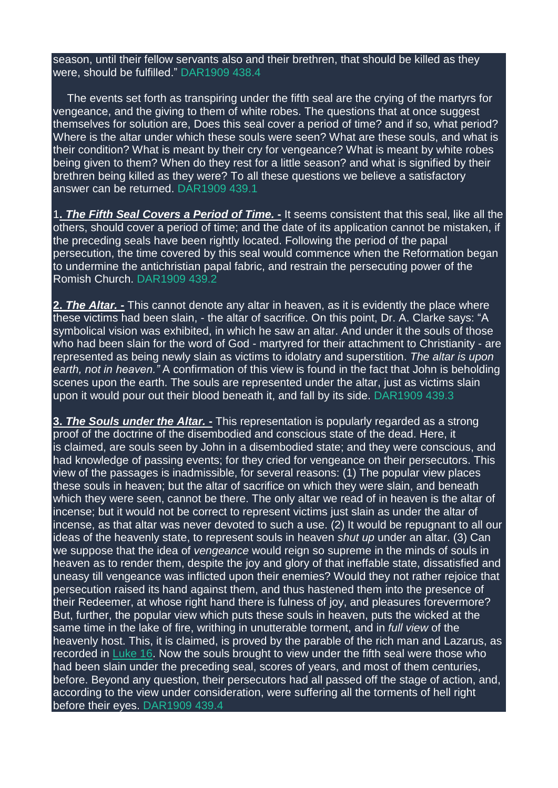season, until their fellow servants also and their brethren, that should be killed as they were, should be fulfilled." DAR1909 438.4

The events set forth as transpiring under the fifth seal are the crying of the martyrs for vengeance, and the giving to them of white robes. The questions that at once suggest themselves for solution are, Does this seal cover a period of time? and if so, what period? Where is the altar under which these souls were seen? What are these souls, and what is their condition? What is meant by their cry for vengeance? What is meant by white robes being given to them? When do they rest for a little season? and what is signified by their brethren being killed as they were? To all these questions we believe a satisfactory answer can be returned. DAR1909 439.1

1**.** *The Fifth Seal Covers a Period of Time.* **-** It seems consistent that this seal, like all the others, should cover a period of time; and the date of its application cannot be mistaken, if the preceding seals have been rightly located. Following the period of the papal persecution, the time covered by this seal would commence when the Reformation began to undermine the antichristian papal fabric, and restrain the persecuting power of the Romish Church. DAR1909 439.2

**2.** *The Altar.* **-** This cannot denote any altar in heaven, as it is evidently the place where these victims had been slain, - the altar of sacrifice. On this point, Dr. A. Clarke says: "A symbolical vision was exhibited, in which he saw an altar. And under it the souls of those who had been slain for the word of God - martyred for their attachment to Christianity - are represented as being newly slain as victims to idolatry and superstition. *The altar is upon earth, not in heaven."* A confirmation of this view is found in the fact that John is beholding scenes upon the earth. The souls are represented under the altar, just as victims slain upon it would pour out their blood beneath it, and fall by its side. DAR1909 439.3

**3.** *The Souls under the Altar.* **-** This representation is popularly regarded as a strong proof of the doctrine of the disembodied and conscious state of the dead. Here, it is claimed, are souls seen by John in a disembodied state; and they were conscious, and had knowledge of passing events; for they cried for vengeance on their persecutors. This view of the passages is inadmissible, for several reasons: (1) The popular view places these souls in heaven; but the altar of sacrifice on which they were slain, and beneath which they were seen, cannot be there. The only altar we read of in heaven is the altar of incense; but it would not be correct to represent victims just slain as under the altar of incense, as that altar was never devoted to such a use. (2) It would be repugnant to all our ideas of the heavenly state, to represent souls in heaven *shut up* under an altar. (3) Can we suppose that the idea of *vengeance* would reign so supreme in the minds of souls in heaven as to render them, despite the joy and glory of that ineffable state, dissatisfied and uneasy till vengeance was inflicted upon their enemies? Would they not rather rejoice that persecution raised its hand against them, and thus hastened them into the presence of their Redeemer, at whose right hand there is fulness of joy, and pleasures forevermore? But, further, the popular view which puts these souls in heaven, puts the wicked at the same time in the lake of fire, writhing in unutterable torment, and in *full view* of the heavenly host. This, it is claimed, is proved by the parable of the rich man and Lazarus, as recorded in [Luke](https://m.egwwritings.org/en/book/1965.52276#52276) 16. Now the souls brought to view under the fifth seal were those who had been slain under the preceding seal, scores of years, and most of them centuries, before. Beyond any question, their persecutors had all passed off the stage of action, and, according to the view under consideration, were suffering all the torments of hell right before their eyes. DAR1909 439.4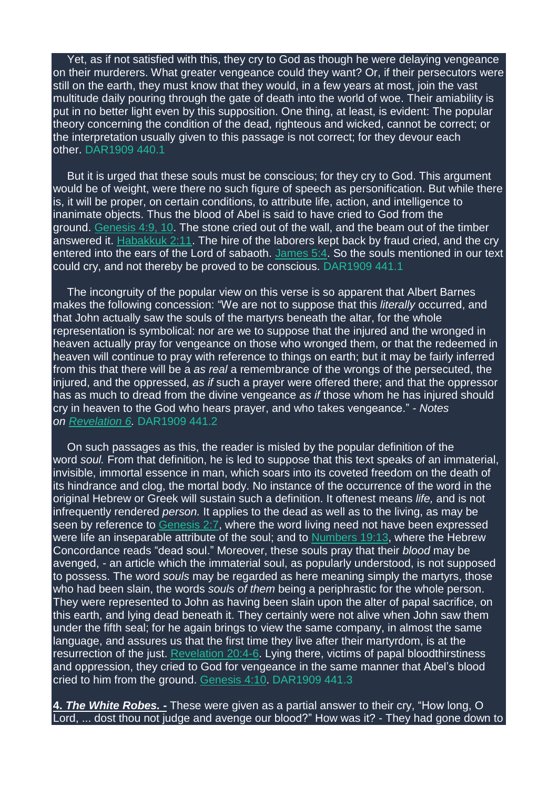Yet, as if not satisfied with this, they cry to God as though he were delaying vengeance on their murderers. What greater vengeance could they want? Or, if their persecutors were still on the earth, they must know that they would, in a few years at most, join the vast multitude daily pouring through the gate of death into the world of woe. Their amiability is put in no better light even by this supposition. One thing, at least, is evident: The popular theory concerning the condition of the dead, righteous and wicked, cannot be correct; or the interpretation usually given to this passage is not correct; for they devour each other. DAR1909 440.1

But it is urged that these souls must be conscious; for they cry to God. This argument would be of weight, were there no such figure of speech as personification. But while there is, it will be proper, on certain conditions, to attribute life, action, and intelligence to inanimate objects. Thus the blood of Abel is said to have cried to God from the ground. [Genesis](https://m.egwwritings.org/en/book/1965.184#184) 4:9, 10. The stone cried out of the wall, and the beam out of the timber answered it. [Habakkuk](https://m.egwwritings.org/en/book/1965.46461#46461) 2:11. The hire of the laborers kept back by fraud cried, and the cry entered into the ears of the Lord of sabaoth. [James](https://m.egwwritings.org/en/book/1965.61929#61929) 5:4. So the souls mentioned in our text could cry, and not thereby be proved to be conscious. DAR1909 441.1

The incongruity of the popular view on this verse is so apparent that Albert Barnes makes the following concession: "We are not to suppose that this *literally* occurred, and that John actually saw the souls of the martyrs beneath the altar, for the whole representation is symbolical: nor are we to suppose that the injured and the wronged in heaven actually pray for vengeance on those who wronged them, or that the redeemed in heaven will continue to pray with reference to things on earth; but it may be fairly inferred from this that there will be a *as real* a remembrance of the wrongs of the persecuted, the injured, and the oppressed, *as if* such a prayer were offered there; and that the oppressor has as much to dread from the divine vengeance *as if* those whom he has injured should cry in heaven to the God who hears prayer, and who takes vengeance." - *Notes on [Revelation](https://m.egwwritings.org/en/book/1965.62830#62830) 6.* DAR1909 441.2

On such passages as this, the reader is misled by the popular definition of the word *soul.* From that definition, he is led to suppose that this text speaks of an immaterial, invisible, immortal essence in man, which soars into its coveted freedom on the death of its hindrance and clog, the mortal body. No instance of the occurrence of the word in the original Hebrew or Greek will sustain such a definition. It oftenest means *life,* and is not infrequently rendered *person.* It applies to the dead as well as to the living, as may be seen by reference to [Genesis](https://m.egwwritings.org/en/book/1965.80#80) 2:7, where the word living need not have been expressed were life an inseparable attribute of the soul; and to [Numbers](https://m.egwwritings.org/en/book/1965.8747#8747) 19:13, where the Hebrew Concordance reads "dead soul." Moreover, these souls pray that their *blood* may be avenged, - an article which the immaterial soul, as popularly understood, is not supposed to possess. The word *souls* may be regarded as here meaning simply the martyrs, those who had been slain, the words *souls of them* being a periphrastic for the whole person. They were represented to John as having been slain upon the alter of papal sacrifice, on this earth, and lying dead beneath it. They certainly were not alive when John saw them under the fifth seal; for he again brings to view the same company, in almost the same language, and assures us that the first time they live after their martyrdom, is at the resurrection of the just. [Revelation](https://m.egwwritings.org/en/book/1965.63340#63340) 20:4-6. Lying there, victims of papal bloodthirstiness and oppression, they cried to God for vengeance in the same manner that Abel's blood cried to him from the ground. [Genesis](https://m.egwwritings.org/en/book/1965.186#186) 4:10. DAR1909 441.3

**4.** *The White Robes.* **-** These were given as a partial answer to their cry, "How long, O Lord, ... dost thou not judge and avenge our blood?" How was it? - They had gone down to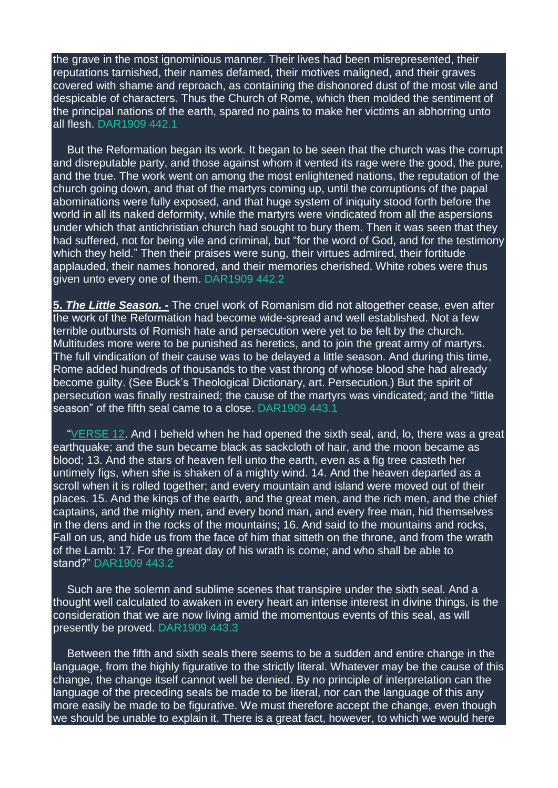the grave in the most ignominious manner. Their lives had been misrepresented, their reputations tarnished, their names defamed, their motives maligned, and their graves covered with shame and reproach, as containing the dishonored dust of the most vile and despicable of characters. Thus the Church of Rome, which then molded the sentiment of the principal nations of the earth, spared no pains to make her victims an abhorring unto all flesh. DAR1909 442.1

But the Reformation began its work. It began to be seen that the church was the corrupt and disreputable party, and those against whom it vented its rage were the good, the pure, and the true. The work went on among the most enlightened nations, the reputation of the church going down, and that of the martyrs coming up, until the corruptions of the papal abominations were fully exposed, and that huge system of iniquity stood forth before the world in all its naked deformity, while the martyrs were vindicated from all the aspersions under which that antichristian church had sought to bury them. Then it was seen that they had suffered, not for being vile and criminal, but "for the word of God, and for the testimony which they held." Then their praises were sung, their virtues admired, their fortitude applauded, their names honored, and their memories cherished. White robes were thus given unto every one of them. DAR1909 442.2

**5.** *The Little Season.* **-** The cruel work of Romanism did not altogether cease, even after the work of the Reformation had become wide-spread and well established. Not a few terrible outbursts of Romish hate and persecution were yet to be felt by the church. Multitudes more were to be punished as heretics, and to join the great army of martyrs. The full vindication of their cause was to be delayed a little season. And during this time, Rome added hundreds of thousands to the vast throng of whose blood she had already become guilty. (See Buck's Theological Dictionary, art. Persecution.) But the spirit of persecution was finally restrained; the cause of the martyrs was vindicated; and the "little season" of the fifth seal came to a close. DAR1909 443.1

["VERSE](https://m.egwwritings.org/en/book/1965.62852#62852) 12. And I beheld when he had opened the sixth seal, and, lo, there was a great earthquake; and the sun became black as sackcloth of hair, and the moon became as blood; 13. And the stars of heaven fell unto the earth, even as a fig tree casteth her untimely figs, when she is shaken of a mighty wind. 14. And the heaven departed as a scroll when it is rolled together; and every mountain and island were moved out of their places. 15. And the kings of the earth, and the great men, and the rich men, and the chief captains, and the mighty men, and every bond man, and every free man, hid themselves in the dens and in the rocks of the mountains; 16. And said to the mountains and rocks, Fall on us, and hide us from the face of him that sitteth on the throne, and from the wrath of the Lamb: 17. For the great day of his wrath is come; and who shall be able to stand?" DAR1909 443.2

Such are the solemn and sublime scenes that transpire under the sixth seal. And a thought well calculated to awaken in every heart an intense interest in divine things, is the consideration that we are now living amid the momentous events of this seal, as will presently be proved. DAR1909 443.3

Between the fifth and sixth seals there seems to be a sudden and entire change in the language, from the highly figurative to the strictly literal. Whatever may be the cause of this change, the change itself cannot well be denied. By no principle of interpretation can the language of the preceding seals be made to be literal, nor can the language of this any more easily be made to be figurative. We must therefore accept the change, even though we should be unable to explain it. There is a great fact, however, to which we would here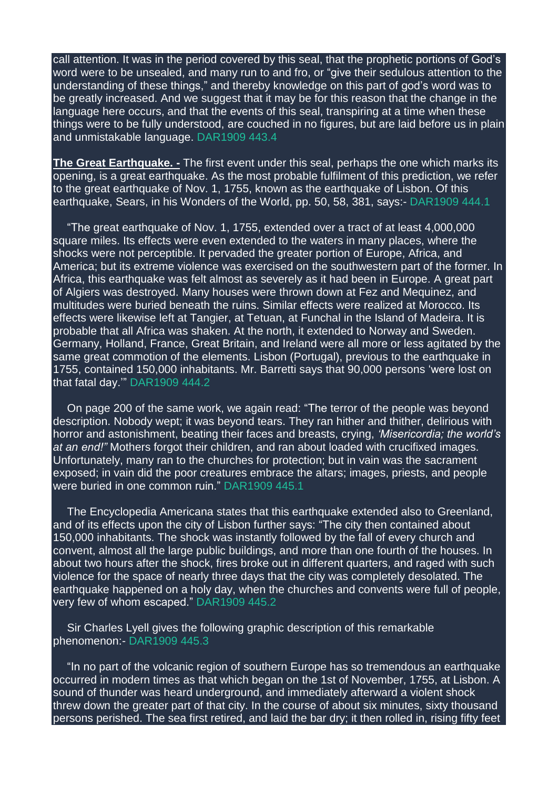call attention. It was in the period covered by this seal, that the prophetic portions of God's word were to be unsealed, and many run to and fro, or "give their sedulous attention to the understanding of these things," and thereby knowledge on this part of god's word was to be greatly increased. And we suggest that it may be for this reason that the change in the language here occurs, and that the events of this seal, transpiring at a time when these things were to be fully understood, are couched in no figures, but are laid before us in plain and unmistakable language. DAR1909 443.4

**The Great Earthquake. -** The first event under this seal, perhaps the one which marks its opening, is a great earthquake. As the most probable fulfilment of this prediction, we refer to the great earthquake of Nov. 1, 1755, known as the earthquake of Lisbon. Of this earthquake, Sears, in his Wonders of the World, pp. 50, 58, 381, says:- DAR1909 444.1

"The great earthquake of Nov. 1, 1755, extended over a tract of at least 4,000,000 square miles. Its effects were even extended to the waters in many places, where the shocks were not perceptible. It pervaded the greater portion of Europe, Africa, and America; but its extreme violence was exercised on the southwestern part of the former. In Africa, this earthquake was felt almost as severely as it had been in Europe. A great part of Algiers was destroyed. Many houses were thrown down at Fez and Mequinez, and multitudes were buried beneath the ruins. Similar effects were realized at Morocco. Its effects were likewise left at Tangier, at Tetuan, at Funchal in the Island of Madeira. It is probable that all Africa was shaken. At the north, it extended to Norway and Sweden. Germany, Holland, France, Great Britain, and Ireland were all more or less agitated by the same great commotion of the elements. Lisbon (Portugal), previous to the earthquake in 1755, contained 150,000 inhabitants. Mr. Barretti says that 90,000 persons 'were lost on that fatal day.'" DAR1909 444.2

On page 200 of the same work, we again read: "The terror of the people was beyond description. Nobody wept; it was beyond tears. They ran hither and thither, delirious with horror and astonishment, beating their faces and breasts, crying, *'Misericordia; the world's at an end!"* Mothers forgot their children, and ran about loaded with crucifixed images. Unfortunately, many ran to the churches for protection; but in vain was the sacrament exposed; in vain did the poor creatures embrace the altars; images, priests, and people were buried in one common ruin." DAR1909 445.1

The Encyclopedia Americana states that this earthquake extended also to Greenland, and of its effects upon the city of Lisbon further says: "The city then contained about 150,000 inhabitants. The shock was instantly followed by the fall of every church and convent, almost all the large public buildings, and more than one fourth of the houses. In about two hours after the shock, fires broke out in different quarters, and raged with such violence for the space of nearly three days that the city was completely desolated. The earthquake happened on a holy day, when the churches and convents were full of people. very few of whom escaped." DAR1909 445.2

Sir Charles Lyell gives the following graphic description of this remarkable phenomenon:- DAR1909 445.3

"In no part of the volcanic region of southern Europe has so tremendous an earthquake occurred in modern times as that which began on the 1st of November, 1755, at Lisbon. A sound of thunder was heard underground, and immediately afterward a violent shock threw down the greater part of that city. In the course of about six minutes, sixty thousand persons perished. The sea first retired, and laid the bar dry; it then rolled in, rising fifty feet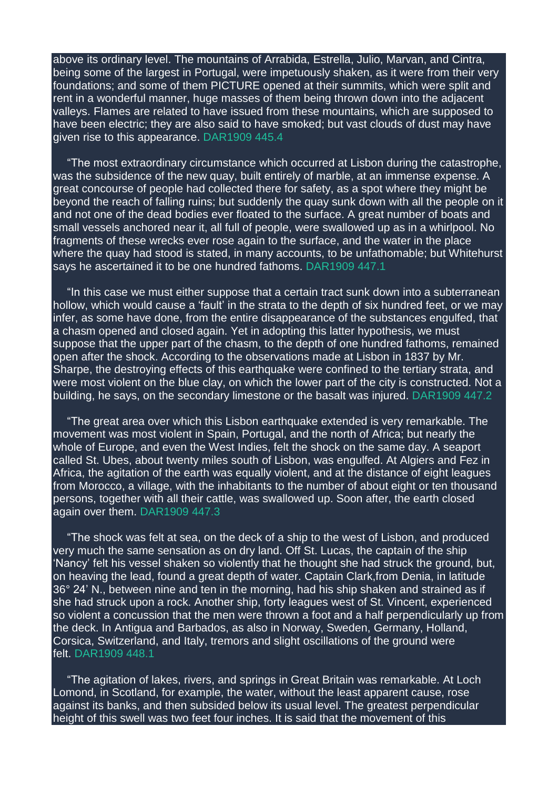above its ordinary level. The mountains of Arrabida, Estrella, Julio, Marvan, and Cintra, being some of the largest in Portugal, were impetuously shaken, as it were from their very foundations; and some of them PICTURE opened at their summits, which were split and rent in a wonderful manner, huge masses of them being thrown down into the adjacent valleys. Flames are related to have issued from these mountains, which are supposed to have been electric; they are also said to have smoked; but vast clouds of dust may have given rise to this appearance. DAR1909 445.4

"The most extraordinary circumstance which occurred at Lisbon during the catastrophe, was the subsidence of the new quay, built entirely of marble, at an immense expense. A great concourse of people had collected there for safety, as a spot where they might be beyond the reach of falling ruins; but suddenly the quay sunk down with all the people on it and not one of the dead bodies ever floated to the surface. A great number of boats and small vessels anchored near it, all full of people, were swallowed up as in a whirlpool. No fragments of these wrecks ever rose again to the surface, and the water in the place where the quay had stood is stated, in many accounts, to be unfathomable; but Whitehurst says he ascertained it to be one hundred fathoms. DAR1909 447.1

"In this case we must either suppose that a certain tract sunk down into a subterranean hollow, which would cause a 'fault' in the strata to the depth of six hundred feet, or we may infer, as some have done, from the entire disappearance of the substances engulfed, that a chasm opened and closed again. Yet in adopting this latter hypothesis, we must suppose that the upper part of the chasm, to the depth of one hundred fathoms, remained open after the shock. According to the observations made at Lisbon in 1837 by Mr. Sharpe, the destroying effects of this earthquake were confined to the tertiary strata, and were most violent on the blue clay, on which the lower part of the city is constructed. Not a building, he says, on the secondary limestone or the basalt was injured. DAR1909 447.2

"The great area over which this Lisbon earthquake extended is very remarkable. The movement was most violent in Spain, Portugal, and the north of Africa; but nearly the whole of Europe, and even the West Indies, felt the shock on the same day. A seaport called St. Ubes, about twenty miles south of Lisbon, was engulfed. At Algiers and Fez in Africa, the agitation of the earth was equally violent, and at the distance of eight leagues from Morocco, a village, with the inhabitants to the number of about eight or ten thousand persons, together with all their cattle, was swallowed up. Soon after, the earth closed again over them. DAR1909 447.3

"The shock was felt at sea, on the deck of a ship to the west of Lisbon, and produced very much the same sensation as on dry land. Off St. Lucas, the captain of the ship 'Nancy' felt his vessel shaken so violently that he thought she had struck the ground, but, on heaving the lead, found a great depth of water. Captain Clark, from Denia, in latitude 36° 24' N., between nine and ten in the morning, had his ship shaken and strained as if she had struck upon a rock. Another ship, forty leagues west of St. Vincent, experienced so violent a concussion that the men were thrown a foot and a half perpendicularly up from the deck. In Antigua and Barbados, as also in Norway, Sweden, Germany, Holland, Corsica, Switzerland, and Italy, tremors and slight oscillations of the ground were felt. DAR1909 448.1

"The agitation of lakes, rivers, and springs in Great Britain was remarkable. At Loch Lomond, in Scotland, for example, the water, without the least apparent cause, rose against its banks, and then subsided below its usual level. The greatest perpendicular height of this swell was two feet four inches. It is said that the movement of this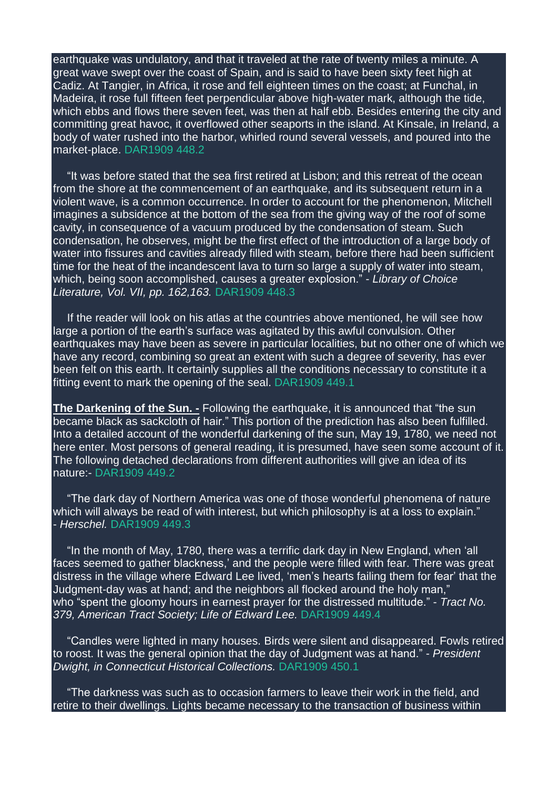earthquake was undulatory, and that it traveled at the rate of twenty miles a minute. A great wave swept over the coast of Spain, and is said to have been sixty feet high at Cadiz. At Tangier, in Africa, it rose and fell eighteen times on the coast; at Funchal, in Madeira, it rose full fifteen feet perpendicular above high-water mark, although the tide, which ebbs and flows there seven feet, was then at half ebb. Besides entering the city and committing great havoc, it overflowed other seaports in the island. At Kinsale, in Ireland, a body of water rushed into the harbor, whirled round several vessels, and poured into the market-place. DAR1909 448.2

"It was before stated that the sea first retired at Lisbon; and this retreat of the ocean from the shore at the commencement of an earthquake, and its subsequent return in a violent wave, is a common occurrence. In order to account for the phenomenon, Mitchell imagines a subsidence at the bottom of the sea from the giving way of the roof of some cavity, in consequence of a vacuum produced by the condensation of steam. Such condensation, he observes, might be the first effect of the introduction of a large body of water into fissures and cavities already filled with steam, before there had been sufficient time for the heat of the incandescent lava to turn so large a supply of water into steam, which, being soon accomplished, causes a greater explosion." - *Library of Choice Literature, Vol. VII, pp. 162,163.* DAR1909 448.3

If the reader will look on his atlas at the countries above mentioned, he will see how large a portion of the earth's surface was agitated by this awful convulsion. Other earthquakes may have been as severe in particular localities, but no other one of which we have any record, combining so great an extent with such a degree of severity, has ever been felt on this earth. It certainly supplies all the conditions necessary to constitute it a fitting event to mark the opening of the seal. DAR1909 449.1

**The Darkening of the Sun. -** Following the earthquake, it is announced that "the sun became black as sackcloth of hair." This portion of the prediction has also been fulfilled. Into a detailed account of the wonderful darkening of the sun, May 19, 1780, we need not here enter. Most persons of general reading, it is presumed, have seen some account of it. The following detached declarations from different authorities will give an idea of its nature:- DAR1909 449.2

"The dark day of Northern America was one of those wonderful phenomena of nature which will always be read of with interest, but which philosophy is at a loss to explain." - *Herschel.* DAR1909 449.3

"In the month of May, 1780, there was a terrific dark day in New England, when 'all faces seemed to gather blackness,' and the people were filled with fear. There was great distress in the village where Edward Lee lived, 'men's hearts failing them for fear' that the Judgment-day was at hand; and the neighbors all flocked around the holy man," who "spent the gloomy hours in earnest prayer for the distressed multitude." - *Tract No. 379, American Tract Society; Life of Edward Lee.* DAR1909 449.4

"Candles were lighted in many houses. Birds were silent and disappeared. Fowls retired to roost. It was the general opinion that the day of Judgment was at hand." - *President Dwight, in Connecticut Historical Collections.* DAR1909 450.1

"The darkness was such as to occasion farmers to leave their work in the field, and retire to their dwellings. Lights became necessary to the transaction of business within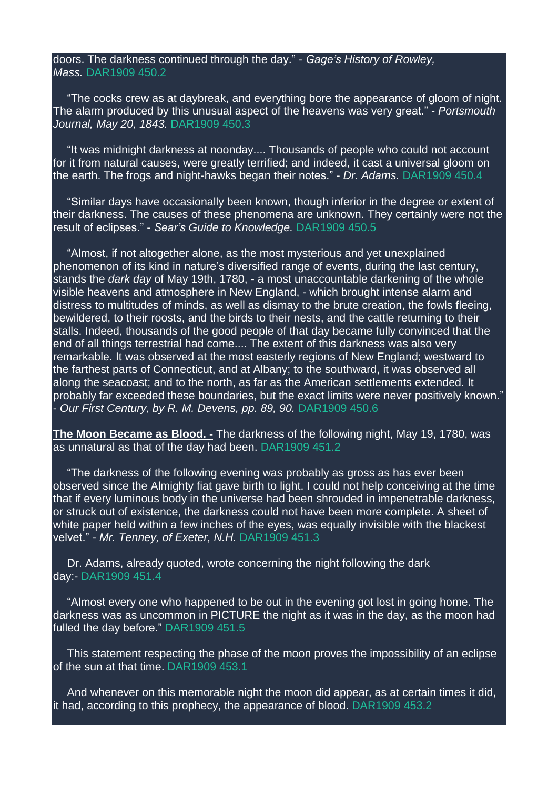## doors. The darkness continued through the day." - *Gage's History of Rowley, Mass.* DAR1909 450.2

"The cocks crew as at daybreak, and everything bore the appearance of gloom of night. The alarm produced by this unusual aspect of the heavens was very great." - *Portsmouth Journal, May 20, 1843.* DAR1909 450.3

"It was midnight darkness at noonday.... Thousands of people who could not account for it from natural causes, were greatly terrified; and indeed, it cast a universal gloom on the earth. The frogs and night-hawks began their notes." - *Dr. Adams.* DAR1909 450.4

"Similar days have occasionally been known, though inferior in the degree or extent of their darkness. The causes of these phenomena are unknown. They certainly were not the result of eclipses." - *Sear's Guide to Knowledge.* DAR1909 450.5

"Almost, if not altogether alone, as the most mysterious and yet unexplained phenomenon of its kind in nature's diversified range of events, during the last century, stands the *dark day* of May 19th, 1780, - a most unaccountable darkening of the whole visible heavens and atmosphere in New England, - which brought intense alarm and distress to multitudes of minds, as well as dismay to the brute creation, the fowls fleeing, bewildered, to their roosts, and the birds to their nests, and the cattle returning to their stalls. Indeed, thousands of the good people of that day became fully convinced that the end of all things terrestrial had come.... The extent of this darkness was also very remarkable. It was observed at the most easterly regions of New England; westward to the farthest parts of Connecticut, and at Albany; to the southward, it was observed all along the seacoast; and to the north, as far as the American settlements extended. It probably far exceeded these boundaries, but the exact limits were never positively known." - *Our First Century, by R. M. Devens, pp. 89, 90.* DAR1909 450.6

**The Moon Became as Blood. -** The darkness of the following night, May 19, 1780, was as unnatural as that of the day had been. DAR1909 451.2

"The darkness of the following evening was probably as gross as has ever been observed since the Almighty fiat gave birth to light. I could not help conceiving at the time that if every luminous body in the universe had been shrouded in impenetrable darkness, or struck out of existence, the darkness could not have been more complete. A sheet of white paper held within a few inches of the eyes, was equally invisible with the blackest velvet." - *Mr. Tenney, of Exeter, N.H.* DAR1909 451.3

Dr. Adams, already quoted, wrote concerning the night following the dark day:- DAR1909 451.4

"Almost every one who happened to be out in the evening got lost in going home. The darkness was as uncommon in PICTURE the night as it was in the day, as the moon had fulled the day before." DAR1909 451.5

This statement respecting the phase of the moon proves the impossibility of an eclipse of the sun at that time. DAR1909 453.1

And whenever on this memorable night the moon did appear, as at certain times it did, it had, according to this prophecy, the appearance of blood. DAR1909 453.2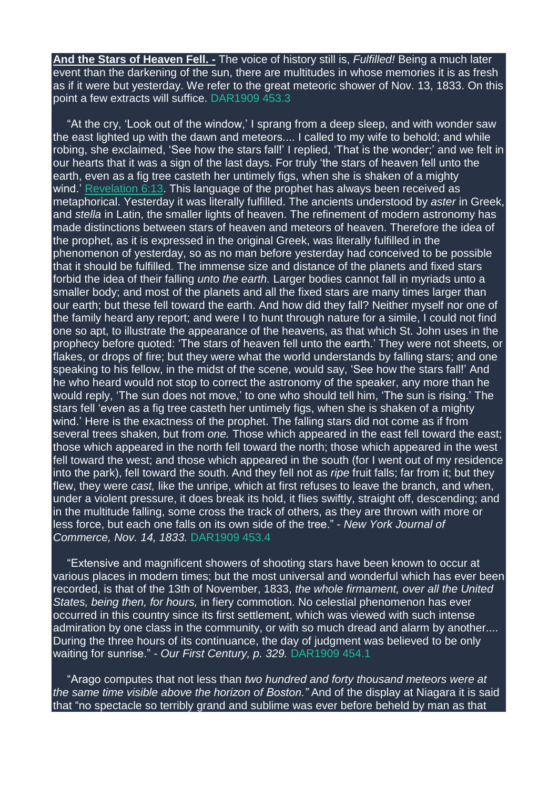**And the Stars of Heaven Fell. -** The voice of history still is, *Fulfilled!* Being a much later event than the darkening of the sun, there are multitudes in whose memories it is as fresh as if it were but yesterday. We refer to the great meteoric shower of Nov. 13, 1833. On this point a few extracts will suffice. DAR1909 453.3

"At the cry, 'Look out of the window,' I sprang from a deep sleep, and with wonder saw the east lighted up with the dawn and meteors.... I called to my wife to behold; and while robing, she exclaimed, 'See how the stars fall!' I replied, 'That is the wonder;' and we felt in our hearts that it was a sign of the last days. For truly 'the stars of heaven fell unto the earth, even as a fig tree casteth her untimely figs, when she is shaken of a mighty wind.' [Revelation](https://m.egwwritings.org/en/book/1965.62854#62854) 6:13. This language of the prophet has always been received as metaphorical. Yesterday it was literally fulfilled. The ancients understood by *aster* in Greek, and *stella* in Latin, the smaller lights of heaven. The refinement of modern astronomy has made distinctions between stars of heaven and meteors of heaven. Therefore the idea of the prophet, as it is expressed in the original Greek, was literally fulfilled in the phenomenon of yesterday, so as no man before yesterday had conceived to be possible that it should be fulfilled. The immense size and distance of the planets and fixed stars forbid the idea of their falling *unto the earth.* Larger bodies cannot fall in myriads unto a smaller body; and most of the planets and all the fixed stars are many times larger than our earth; but these fell toward the earth. And how did they fall? Neither myself nor one of the family heard any report; and were I to hunt through nature for a simile, I could not find one so apt, to illustrate the appearance of the heavens, as that which St. John uses in the prophecy before quoted: 'The stars of heaven fell unto the earth.' They were not sheets, or flakes, or drops of fire; but they were what the world understands by falling stars; and one speaking to his fellow, in the midst of the scene, would say, 'See how the stars fall!' And he who heard would not stop to correct the astronomy of the speaker, any more than he would reply, 'The sun does not move,' to one who should tell him, 'The sun is rising.' The stars fell 'even as a fig tree casteth her untimely figs, when she is shaken of a mighty wind.' Here is the exactness of the prophet. The falling stars did not come as if from several trees shaken, but from *one.* Those which appeared in the east fell toward the east; those which appeared in the north fell toward the north; those which appeared in the west fell toward the west; and those which appeared in the south (for I went out of my residence into the park), fell toward the south. And they fell not as *ripe* fruit falls; far from it; but they flew, they were *cast,* like the unripe, which at first refuses to leave the branch, and when, under a violent pressure, it does break its hold, it flies swiftly, straight off, descending; and in the multitude falling, some cross the track of others, as they are thrown with more or less force, but each one falls on its own side of the tree." - *New York Journal of Commerce, Nov. 14, 1833.* DAR1909 453.4

"Extensive and magnificent showers of shooting stars have been known to occur at various places in modern times; but the most universal and wonderful which has ever been recorded, is that of the 13th of November, 1833, *the whole firmament, over all the United States, being then, for hours,* in fiery commotion. No celestial phenomenon has ever occurred in this country since its first settlement, which was viewed with such intense admiration by one class in the community, or with so much dread and alarm by another.... During the three hours of its continuance, the day of judgment was believed to be only waiting for sunrise." - *Our First Century, p. 329.* DAR1909 454.1

"Arago computes that not less than *two hundred and forty thousand meteors were at the same time visible above the horizon of Boston."* And of the display at Niagara it is said that "no spectacle so terribly grand and sublime was ever before beheld by man as that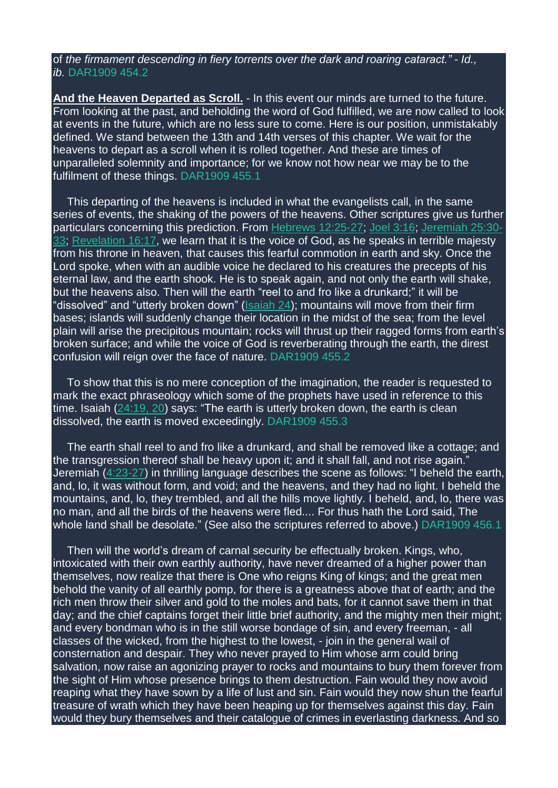of *the firmament descending in fiery torrents over the dark and roaring cataract." - Id., ib.* DAR1909 454.2

**And the Heaven Departed as Scroll.** - In this event our minds are turned to the future. From looking at the past, and beholding the word of God fulfilled, we are now called to look at events in the future, which are no less sure to come. Here is our position, unmistakably defined. We stand between the 13th and 14th verses of this chapter. We wait for the heavens to depart as a scroll when it is rolled together. And these are times of unparalleled solemnity and importance; for we know not how near we may be to the fulfilment of these things. DAR1909 455.1

This departing of the heavens is included in what the evangelists call, in the same series of events, the shaking of the powers of the heavens. Other scriptures give us further particulars concerning this prediction. From Hebrews [12:25-27;](https://m.egwwritings.org/en/book/1965.61680#61680) Joel [3:16;](https://m.egwwritings.org/en/book/1965.45629#45629) [Jeremiah](https://m.egwwritings.org/en/book/1965.39925#39925) 25:30- [33;](https://m.egwwritings.org/en/book/1965.39925#39925) [Revelation](https://m.egwwritings.org/en/book/1965.63194#63194) 16:17, we learn that it is the voice of God, as he speaks in terrible majesty from his throne in heaven, that causes this fearful commotion in earth and sky. Once the Lord spoke, when with an audible voice he declared to his creatures the precepts of his eternal law, and the earth shook. He is to speak again, and not only the earth will shake, but the heavens also. Then will the earth "reel to and fro like a drunkard;" it will be "dissolved" and "utterly broken down" [\(Isaiah](https://m.egwwritings.org/en/book/1965.36921#36921) 24); mountains will move from their firm bases; islands will suddenly change their location in the midst of the sea; from the level plain will arise the precipitous mountain; rocks will thrust up their ragged forms from earth's broken surface; and while the voice of God is reverberating through the earth, the direst confusion will reign over the face of nature. DAR1909 455.2

To show that this is no mere conception of the imagination, the reader is requested to mark the exact phraseology which some of the prophets have used in reference to this time. Isaiah  $(24:19, 20)$  $(24:19, 20)$  says: "The earth is utterly broken down, the earth is clean dissolved, the earth is moved exceedingly. DAR1909 455.3

The earth shall reel to and fro like a drunkard, and shall be removed like a cottage; and the transgression thereof shall be heavy upon it; and it shall fall, and not rise again." Jeremiah [\(4:23-27\)](https://m.egwwritings.org/en/book/1965.38876#38876) in thrilling language describes the scene as follows: "I beheld the earth, and, lo, it was without form, and void; and the heavens, and they had no light. I beheld the mountains, and, lo, they trembled, and all the hills move lightly. I beheld, and, lo, there was no man, and all the birds of the heavens were fled.... For thus hath the Lord said, The whole land shall be desolate." (See also the scriptures referred to above.) DAR1909 456.1

Then will the world's dream of carnal security be effectually broken. Kings, who, intoxicated with their own earthly authority, have never dreamed of a higher power than themselves, now realize that there is One who reigns King of kings; and the great men behold the vanity of all earthly pomp, for there is a greatness above that of earth; and the rich men throw their silver and gold to the moles and bats, for it cannot save them in that day; and the chief captains forget their little brief authority, and the mighty men their might; and every bondman who is in the still worse bondage of sin, and every freeman, - all classes of the wicked, from the highest to the lowest, - join in the general wail of consternation and despair. They who never prayed to Him whose arm could bring salvation, now raise an agonizing prayer to rocks and mountains to bury them forever from the sight of Him whose presence brings to them destruction. Fain would they now avoid reaping what they have sown by a life of lust and sin. Fain would they now shun the fearful treasure of wrath which they have been heaping up for themselves against this day. Fain would they bury themselves and their catalogue of crimes in everlasting darkness. And so